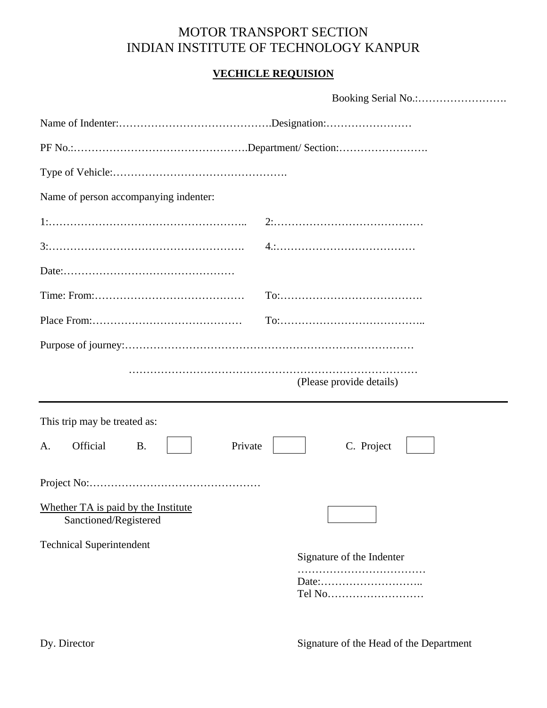## MOTOR TRANSPORT SECTION INDIAN INSTITUTE OF TECHNOLOGY KANPUR

## **VECHICLE REQUISION**

| Name of person accompanying indenter:                                  |  |
|------------------------------------------------------------------------|--|
|                                                                        |  |
|                                                                        |  |
|                                                                        |  |
|                                                                        |  |
|                                                                        |  |
|                                                                        |  |
| (Please provide details)                                               |  |
| This trip may be treated as:                                           |  |
| Official<br>Private<br>C. Project<br><b>B.</b><br>А.                   |  |
|                                                                        |  |
| Whether TA is paid by the Institute<br>Sanctioned/Registered           |  |
| <b>Technical Superintendent</b><br>Signature of the Indenter<br>Tel No |  |

Dy. Director Signature of the Head of the Department